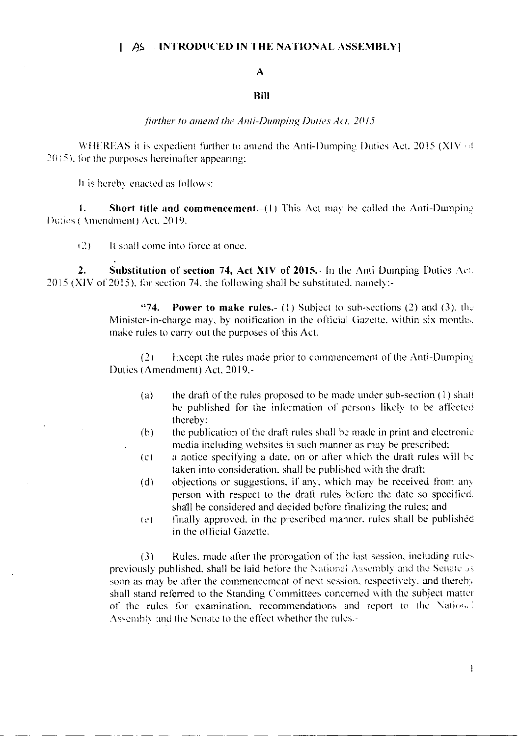#### $\parallel$   $\angle$   $\angle$  INTRODUCED IN THE NATIONAL ASSEMBLY

# $\mathbf{A}$

### Bill

#### further to amend the Anti-Dumping Duties Act, 2015

WHEREAS it is expedient further to amend the Anti-Dumping Duties Act. 2015 (XIV of 2015), for the purposes hereinafter appearing:

It is hereby enacted as follows:-

 $\mathbf{L}$ Short title and commencement.-(1) This Act may be called the Anti-Dumping Duties (Amendment) Act, 2019,

 $(2)$ It shall come into force at once.

Substitution of section 74, Act XIV of 2015.- In the Anti-Dumping Duties Act.  $\overline{2}$ . 2015 (XIV of 2015), for section 74, the following shall be substituted, namely:-

> $474.$ **Power to make rules.** (1) Subject to sub-sections (2) and (3), the Minister-in-charge may, by notification in the official Gazette, within six months. make rules to carry out the purposes of this Act.

> Except the rules made prior to commencement of the Anti-Dumping  $(2)$ Duties (Amendment) Act, 2019,-

- the draft of the rules proposed to be made under sub-section (1) shall  $(a)$ be published for the information of persons likely to be affected thereby:
- the publication of the draft rules shall be made in print and electronic  $(b)$ media including websites in such manner as may be prescribed:
- a notice specifying a date, on or after which the draft rules will be  $\left( \mathbf{C} \right)$ taken into consideration, shall be published with the draft:
- objections or suggestions, if any, which may be received from any  $(d)$ person with respect to the draft rules before the date so specified. shall be considered and decided before finalizing the rules; and
- finally approved, in the prescribed manner, rules shall be published  $\{c\}$ in the official Gazette.

Rules, made after the prorogation of the last session, including rules  $(3)$ previously published, shall be laid before the National Assembly and the Senate as soon as may be after the commencement of next session, respectively, and thereby shall stand referred to the Standing Committees concerned with the subject matter of the rules for examination, recommendations and report to the National Assembly and the Senate to the effect whether the rules.-

 $\mathbf{I}$